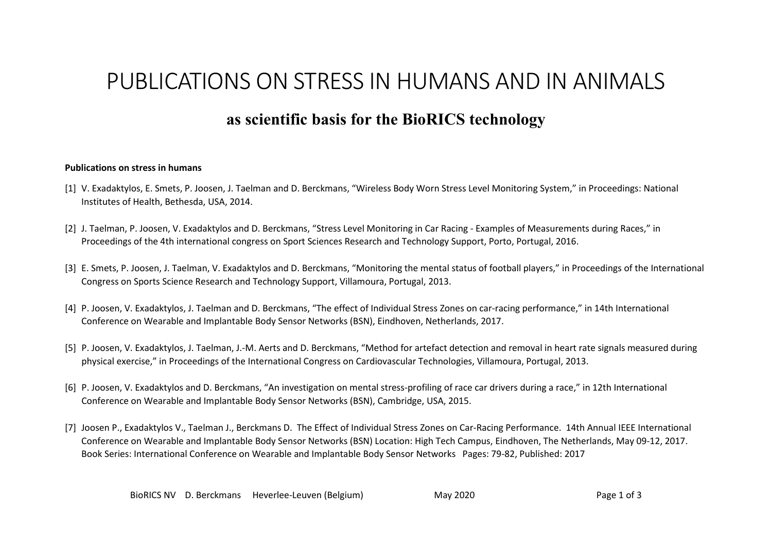## PUBLICATIONS ON STRESS IN HUMANS AND IN ANIMALS

## **as scientific basis for the BioRICS technology**

## **Publications on stress in humans**

- [1] V. Exadaktylos, E. Smets, P. Joosen, J. Taelman and D. Berckmans, "Wireless Body Worn Stress Level Monitoring System," in Proceedings: National Institutes of Health, Bethesda, USA, 2014.
- [2] J. Taelman, P. Joosen, V. Exadaktylos and D. Berckmans, "Stress Level Monitoring in Car Racing Examples of Measurements during Races," in Proceedings of the 4th international congress on Sport Sciences Research and Technology Support, Porto, Portugal, 2016.
- [3] E. Smets, P. Joosen, J. Taelman, V. Exadaktylos and D. Berckmans, "Monitoring the mental status of football players," in Proceedings of the International Congress on Sports Science Research and Technology Support, Villamoura, Portugal, 2013.
- [4] P. Joosen, V. Exadaktylos, J. Taelman and D. Berckmans, "The effect of Individual Stress Zones on car-racing performance," in 14th International Conference on Wearable and Implantable Body Sensor Networks (BSN), Eindhoven, Netherlands, 2017.
- [5] P. Joosen, V. Exadaktylos, J. Taelman, J.-M. Aerts and D. Berckmans, "Method for artefact detection and removal in heart rate signals measured during physical exercise," in Proceedings of the International Congress on Cardiovascular Technologies, Villamoura, Portugal, 2013.
- [6] P. Joosen, V. Exadaktylos and D. Berckmans, "An investigation on mental stress-profiling of race car drivers during a race," in 12th International Conference on Wearable and Implantable Body Sensor Networks (BSN), Cambridge, USA, 2015.
- [7] Joosen P., Exadaktylos V., Taelman J., Berckmans D. The Effect of Individual Stress Zones on Car-Racing Performance. 14th Annual IEEE International Conference on Wearable and Implantable Body Sensor Networks (BSN) Location: High Tech Campus, Eindhoven, The Netherlands, May 09-12, 2017. Book Series: International Conference on Wearable and Implantable Body Sensor Networks Pages: 79-82, Published: 2017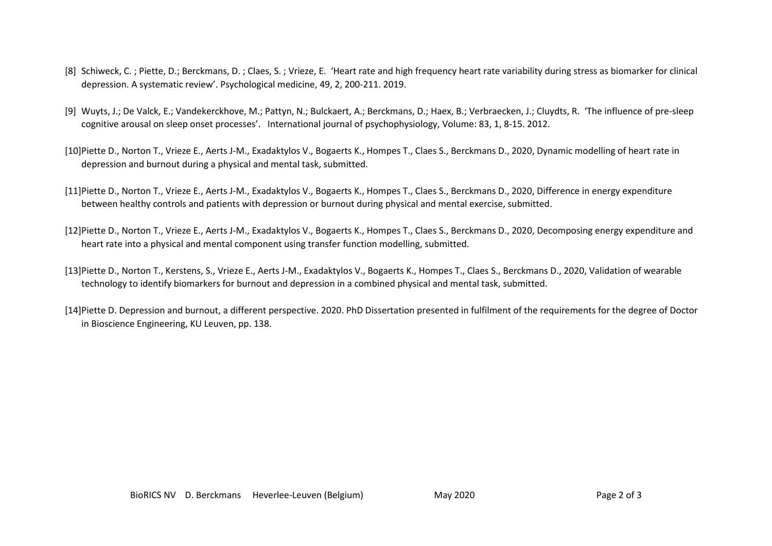- [8] Schiweck, C. ; Piette, D.; Berckmans, D. ; Claes, S. ; Vrieze, E. 'Heart rate and high frequency heart rate variability during stress as biomarker for clinical depression. A systematic review'. Psychological medicine, 49, 2, 200-211. 2019.
- [9] Wuyts, J.; De Valck, E.; Vandekerckhove, M.; Pattyn, N.; Bulckaert, A.; Berckmans, D.; Haex, B.; Verbraecken, J.; Cluydts, R. 'The influence of pre-sleep cognitive arousal on sleep onset processes'. International journal of psychophysiology, Volume: 83, 1, 8-15. 2012.
- [10]Piette D., Norton T., Vrieze E., Aerts J-M., Exadaktylos V., Bogaerts K., Hompes T., Claes S., Berckmans D., 2020, Dynamic modelling of heart rate in depression and burnout during a physical and mental task, submitted.
- [11]Piette D., Norton T., Vrieze E., Aerts J-M., Exadaktylos V., Bogaerts K., Hompes T., Claes S., Berckmans D., 2020, Difference in energy expenditure between healthy controls and patients with depression or burnout during physical and mental exercise, submitted.
- [12]Piette D., Norton T., Vrieze E., Aerts J-M., Exadaktylos V., Bogaerts K., Hompes T., Claes S., Berckmans D., 2020, Decomposing energy expenditure and heart rate into a physical and mental component using transfer function modelling, submitted.
- [13]Piette D., Norton T., Kerstens, S., Vrieze E., Aerts J-M., Exadaktylos V., Bogaerts K., Hompes T., Claes S., Berckmans D., 2020, Validation of wearable technology to identify biomarkers for burnout and depression in a combined physical and mental task, submitted.
- [14]Piette D. Depression and burnout, a different perspective. 2020. PhD Dissertation presented in fulfilment of the requirements for the degree of Doctor in Bioscience Engineering, KU Leuven, pp. 138.